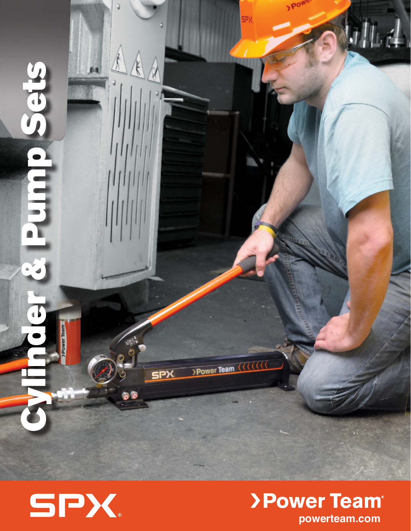



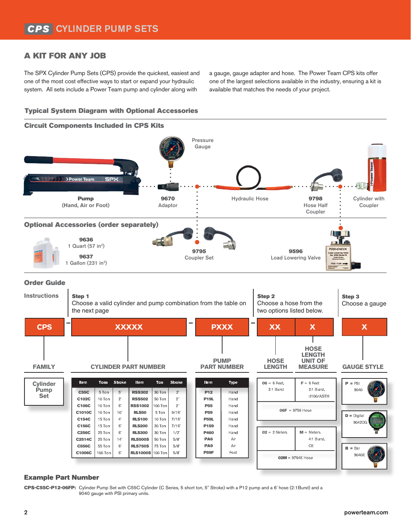## A KIT FOR ANY JOB

The SPX Cylinder Pump Sets (CPS) provide the quickest, easiest and one of the most cost effective ways to start or expand your hydraulic system. All sets include a Power Team pump and cylinder along with

a gauge, gauge adapter and hose. The Power Team CPS kits offer one of the largest selections available in the industry, ensuring a kit is available that matches the needs of your project.

### Typical System Diagram with Optional Accessories



#### Example Part Number

CPS-C55C-P12-06FP: Cylinder Pump Set with C55C Cylinder (C Series, 5 short ton, 5" Stroke) with a P12 pump and a 6' hose (2:1Burst) and a 9040 gauge with PSI primary units.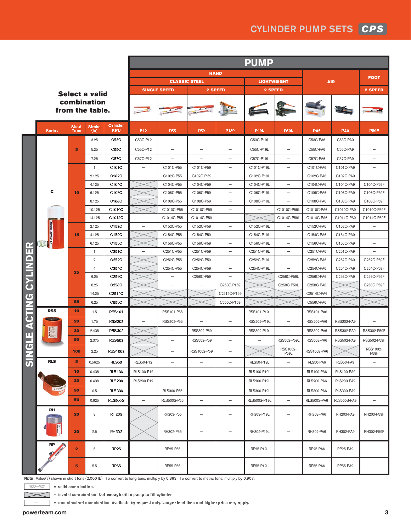# CYLINDER PUMP SETS *CPS*

|                                                                          | <b>Select a valid</b><br>combination<br>from the table. |                         |                       |                               | <b>PUMP</b>              |                                    |                          |                                        |                   |                          |                         |                    |                          |
|--------------------------------------------------------------------------|---------------------------------------------------------|-------------------------|-----------------------|-------------------------------|--------------------------|------------------------------------|--------------------------|----------------------------------------|-------------------|--------------------------|-------------------------|--------------------|--------------------------|
|                                                                          |                                                         |                         |                       |                               | <b>HAND</b>              |                                    |                          |                                        |                   |                          |                         |                    |                          |
|                                                                          |                                                         |                         |                       |                               | <b>CLASSIC STEEL</b>     |                                    |                          | <b>LIGHTWEIGHT</b>                     |                   |                          | <b>AIR</b>              |                    | <b>FOOT</b>              |
|                                                                          |                                                         |                         |                       |                               |                          | <b>SINGLE SPEED</b>                | 2 SPEED                  |                                        | 2 SPEED           |                          |                         |                    | 2 SPEED                  |
|                                                                          |                                                         |                         |                       |                               |                          |                                    |                          |                                        |                   |                          |                         |                    |                          |
|                                                                          | <b>Series</b>                                           | <b>Short</b><br>Tons    | <b>Stroke</b><br>(in) | <b>Cylinder</b><br><b>SKU</b> | P <sub>12</sub>          | P <sub>55</sub>                    | P <sub>59</sub>          | P159                                   | <b>P19L</b>       | <b>P59L</b>              | <b>PA6</b>              | PA <sub>9</sub>    | <b>P59F</b>              |
| E                                                                        |                                                         |                         | 3.25                  | C53C                          | C53C-P12                 | $\qquad \qquad -$                  | $\qquad \qquad -$        |                                        | C53C-P19L         | $\overline{\phantom{m}}$ | C53C-PA6                | C53C-PA9           |                          |
|                                                                          |                                                         | 5                       | 5.25                  | C55C                          | C55C-P12                 |                                    | $\overline{\phantom{0}}$ |                                        | C55C-P19L         | $\overline{\phantom{0}}$ | C55C-PA6                | C55C-PA9           |                          |
|                                                                          |                                                         |                         | 7.25                  | <b>C57C</b>                   | C57C-P12                 |                                    | $\overline{\phantom{0}}$ |                                        | C57C-P19L         | $\overline{\phantom{0}}$ | C57C-PA6                | C57C-PA9           |                          |
|                                                                          |                                                         |                         | $\overline{1}$        | C101C                         | $\overline{\phantom{0}}$ | C101C-P55                          | C101C-P59                | $\overline{\phantom{0}}$               | C101C-P19L        | $\overline{\phantom{0}}$ | C101C-PA6               | C101C-PA9          | $\overline{\phantom{0}}$ |
|                                                                          |                                                         |                         | 2.125                 | C102C                         | $\overline{\phantom{0}}$ | C102C-P55                          | C102C-P59                | $\overline{\phantom{0}}$               | C102C-P19L        |                          | C102C-PA6               | C102C-PA9          |                          |
|                                                                          |                                                         |                         | 4.125                 | C104C                         |                          | C104C-P55                          | C104C-P59                | $\qquad \qquad -$                      | C104C-P19L        | $\overline{\phantom{m}}$ | C104C-PA6               | C104C-PA9          | C104C-P59F               |
|                                                                          | c                                                       | 10                      | 6.125                 | C106C                         |                          | C106C-P55                          | C106C-P59                | $\overline{\phantom{0}}$               | C106C-P19L        | $\overline{\phantom{0}}$ | C106C-PA6               | C106C-PA9          | C106C-P59F               |
|                                                                          |                                                         |                         | 8.125                 | C108C                         |                          | C108C-P55                          | C108C-P59                | $\overline{\phantom{0}}$               | C108C-P19L        | $\overline{\phantom{0}}$ | C108C-PA6               | C108C-PA9          | C108C-P59F               |
|                                                                          |                                                         |                         | 10.125                | C1010C                        |                          | C1010C-P55                         | C1010C-P59               | $\overline{\phantom{0}}$               |                   | C1010C-P59L              | C1010C-PA6              | C1010C-PA9         | C1010C-P59F              |
|                                                                          |                                                         |                         | 14.125                | C1014C                        | $\overline{\phantom{0}}$ | C1014C-P55                         | C1014C-P59               | $\overline{\phantom{0}}$               |                   | C1014C-P59L              | C1014C-PA6              | C1014C-PA9         | C1014C-P59F              |
|                                                                          |                                                         | 15                      | 2.125                 | C152C                         | ÷                        | C152C-P55                          | C152C-P59                |                                        | C152C-P19L        |                          | C152C-PA6               | C152C-PA9          |                          |
|                                                                          | >Power Team                                             |                         | 4.125                 | C154C                         |                          | C154C-P55                          | C154C-P59                | —                                      | C154C-P19L        | -                        | C154C-PA6               | C154C-PA9          |                          |
|                                                                          |                                                         |                         | 6.125                 | C156C                         |                          | C156C-P55                          | C156C-P59                | -                                      | C156C-P19L        | $\overline{\phantom{m}}$ | C156C-PA6               | C156C-PA9          | $\overline{\phantom{0}}$ |
|                                                                          |                                                         |                         | -1                    | C251C                         | $\overline{\phantom{0}}$ | C <sub>251</sub> C-P <sub>55</sub> | C251C-P59                | $\overline{\phantom{0}}$               | C251C-P19L        |                          | C251C-PA6               | C251C-PA9          |                          |
| $\Box$                                                                   |                                                         |                         | $\overline{2}$        | C <sub>252</sub> C            |                          | C <sub>252</sub> C-P <sub>55</sub> | C252C-P59                |                                        | C252C-P19L        |                          | C252C-PA6               | C252C-PA9          | C252C-P59F               |
| <b>NITAC</b><br>CTING<br>€<br>ш<br>ਠ<br>$\overline{\boldsymbol{\delta}}$ |                                                         | 25                      | $\overline{4}$        | C254C                         |                          | C <sub>254</sub> C-P <sub>55</sub> | C254C-P59                |                                        | C254C-P19L        |                          | C254C-PA6               | C254C-PA9          | C254C-P59F               |
|                                                                          |                                                         |                         | 6.25                  | C256C                         |                          | $\overline{\phantom{0}}$           | C256C-P59                | $\overline{\phantom{0}}$               |                   | C256C-P59L               | C256C-PA6               | C256C-PA9          | C256C-P59F               |
|                                                                          |                                                         |                         | 8.25                  | C258C                         |                          |                                    |                          | C258C-P159                             |                   | C258C-P59L               | C258C-PA6               |                    | C258C-P59F               |
|                                                                          |                                                         |                         | 14.25                 | C2514C                        |                          |                                    |                          | C2514C-P159                            |                   |                          | C2514C-PA6              |                    |                          |
|                                                                          | <b>RSS</b>                                              | 55<br>10                | 6.25<br>1.5           | C556C<br><b>RSS101</b>        |                          | RSS101-P55                         |                          | C556C-P159<br>$\overline{\phantom{0}}$ | RSS101-P19L       | $\overline{\phantom{0}}$ | C556C-PA6<br>RSS101-PA6 |                    |                          |
|                                                                          |                                                         | 20                      | 1.75                  | <b>RSS202</b>                 | -                        | RSS202-P55                         | $\overline{\phantom{0}}$ | $\overline{\phantom{0}}$               | RSS202-P19L       | $\overline{\phantom{0}}$ | RSS202-PA6              | RSS202-PA9         | $\overline{\phantom{0}}$ |
|                                                                          |                                                         | 30                      | 2.438                 | <b>RSS302</b>                 |                          |                                    | RSS302-P59               | $\overline{\phantom{0}}$               | RSS302-P19L       | $\overline{\phantom{0}}$ | RSS302-PA6              | RSS302-PA9         | RSS302-P59F              |
|                                                                          |                                                         | 50                      | 2.375                 | <b>RSS502</b>                 |                          |                                    | RSS502-P59               |                                        |                   | RSS502-P59L              | RSS502-PA6              | RSS502-PA9         | RSS502-P59F              |
|                                                                          |                                                         | 100                     | 2.25                  | <b>RSS1002</b>                |                          |                                    | RSS1002-P59              |                                        |                   | RSS1002-<br><b>P59L</b>  | RSS1002-PA6             |                    | RSS1002-<br>P59F         |
|                                                                          | <b>RLS</b>                                              | 5                       | 0.5625                | <b>RLS50</b>                  | RLS50-P12                | $\qquad \qquad -$                  | $\qquad \qquad -$        | $\qquad \qquad -$                      | <b>RLS50-P19L</b> | $\overline{\phantom{m}}$ | RLS50-PA6               | RLS50-PA9          | $\qquad \qquad -$        |
|                                                                          | $>$ Pov                                                 | 10                      | 0.438                 | <b>RLS100</b>                 | RLS100-P12               | $\qquad \qquad -$                  | $\overline{\phantom{0}}$ | $\overline{\phantom{0}}$               | RLS100-P19L       | $\overline{\phantom{0}}$ | <b>RLS100-PA6</b>       | <b>RLS100-PA9</b>  | $\overline{\phantom{0}}$ |
|                                                                          |                                                         | 20                      | 0.438                 | <b>RLS200</b>                 | RLS200-P12               | $\qquad \qquad -$                  | $\qquad \qquad -$        | $\qquad \qquad -$                      | RLS200-P19L       | $\overline{\phantom{m}}$ | <b>RLS200-PA6</b>       | <b>RLS200-PA9</b>  | $\overline{\phantom{0}}$ |
|                                                                          |                                                         | 30                      | 0.5                   | <b>RLS300</b>                 | $\qquad \qquad -$        | RLS300-P55                         | $\overline{\phantom{m}}$ | $\overline{\phantom{0}}$               | RLS300-P19L       | $\overline{\phantom{m}}$ | <b>RLS300-PA6</b>       | <b>RLS300-PA9</b>  | $\qquad \qquad -$        |
|                                                                          |                                                         | 50                      | 0.625                 | <b>RLS500S</b>                | $\overline{\phantom{0}}$ | RLS500S-P55                        | $\qquad \qquad -$        | $\qquad \qquad -$                      | RLS500S-P19L      | $\overline{\phantom{m}}$ | <b>RLS500S-PA6</b>      | <b>RLS500S-PA9</b> | $\overline{\phantom{0}}$ |
|                                                                          | <b>RH</b>                                               | 20                      | 3                     | <b>RH203</b>                  |                          | RH203-P55                          | $\overline{\phantom{0}}$ | $\overline{\phantom{0}}$               | RH203-P19L        | $\overline{\phantom{0}}$ | RH203-PA6               | RH203-PA9          | RH203-P59F               |
|                                                                          |                                                         | 30                      | 2.5                   | RH302                         |                          | RH302-P55                          |                          | -                                      | RH302-P19L        | $\overline{\phantom{0}}$ | RH302-PA6               | RH302-PA9          | RH302-P59F               |
|                                                                          | <b>RP</b>                                               | $\overline{\mathbf{2}}$ | $\,$ 5 $\,$           | <b>RP25</b>                   | $\overline{\phantom{0}}$ | RP25-P55                           | $\qquad \qquad -$        | -                                      | RP25-P19L         | $\overline{\phantom{0}}$ | RP25-PA6                | RP25-PA9           |                          |
|                                                                          |                                                         | 5                       | 5.5                   | <b>RP55</b>                   | ÷                        | RP55-P55                           | -                        |                                        | RP55-P19L         | $\overline{\phantom{m}}$ | RP55-PA6                | RP55-PA9           |                          |

**Note:** Value(s) shown in short tons (2,000 lb). To convert to long tons, multiply by 0.893. To convert to metric tons, multiply by 0.907.

'RXX-PXX' **= valid combination.**

**= invalid combination. Not enough oil in pump to fill cylinder.**

**= non-standard combination. Available by request only. Longer lead time and higher price may apply.**

—

г